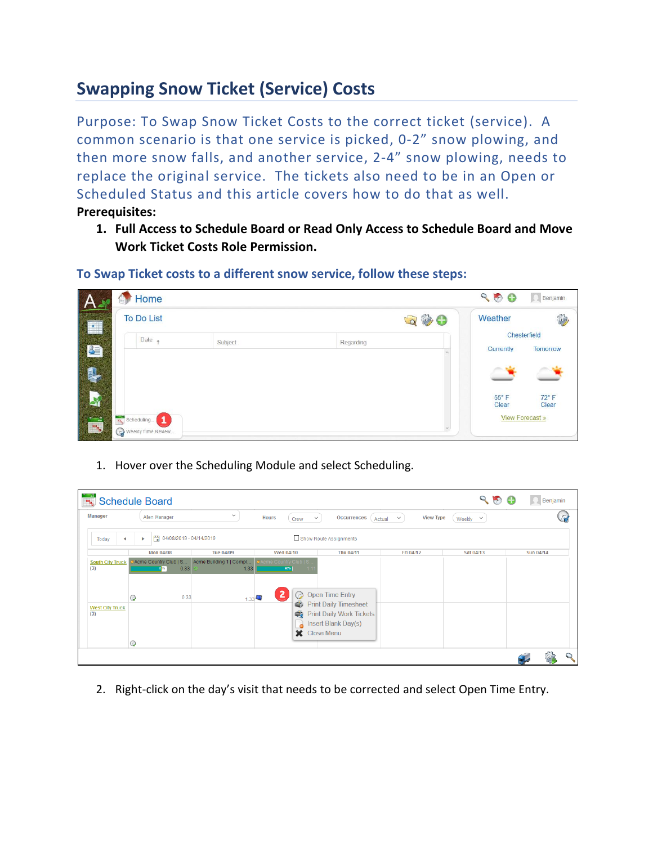## **Swapping Snow Ticket (Service) Costs**

Purpose: To Swap Snow Ticket Costs to the correct ticket (service). A common scenario is that one service is picked, 0-2" snow plowing, and then more snow falls, and another service, 2-4" snow plowing, needs to replace the original service. The tickets also need to be in an Open or Scheduled Status and this article covers how to do that as well. **Prerequisites:** 

**1. Full Access to Schedule Board or Read Only Access to Schedule Board and Move Work Ticket Costs Role Permission.**

**To Swap Ticket costs to a different snow service, follow these steps:**



1. Hover over the Scheduling Module and select Scheduling.

| ادر دان<br>رابط                | <b>Schedule Board</b>       |                                 |                                                  |                                                   |                                            | 900           | Benjamin  |
|--------------------------------|-----------------------------|---------------------------------|--------------------------------------------------|---------------------------------------------------|--------------------------------------------|---------------|-----------|
| <b>Manager</b>                 | Allen Manager               | $\checkmark$                    | <b>Hours</b><br>Crew                             | Occurrences<br>$\checkmark$                       | <b>View Type</b><br>$\checkmark$<br>Actual | Weekly $\vee$ | 发         |
| Today<br>◀                     |                             | □ 04/08/2019 - 04/14/2019       |                                                  | Show Route Assignments                            |                                            |               |           |
|                                | <b>Mon 04/08</b>            | <b>Tue 04/09</b>                | Wed 04/10                                        | Thu 04/11                                         | Fri 04/12                                  | Sat 04/13     | Sun 04/14 |
| <b>South City Truck</b><br>(3) | Acme Country Club   S<br>88 | Acme Building 1   Compl<br>0.33 | O Acme Country Club   S<br>1.33<br>98%<br>$-1.1$ |                                                   |                                            |               |           |
|                                | $\odot$                     | 0.33                            | Э<br>1.33                                        | <b>Open Time Entry</b>                            |                                            |               |           |
| <b>West City Truck</b><br>(3)  |                             |                                 |                                                  | Print Daily Timesheet<br>Print Daily Work Tickets |                                            |               |           |
|                                |                             |                                 |                                                  | Insert Blank Day(s)                               |                                            |               |           |
|                                |                             |                                 | $\mathbf x$                                      | <b>Close Menu</b>                                 |                                            |               |           |
|                                | $\odot$                     |                                 |                                                  |                                                   |                                            |               |           |

2. Right-click on the day's visit that needs to be corrected and select Open Time Entry.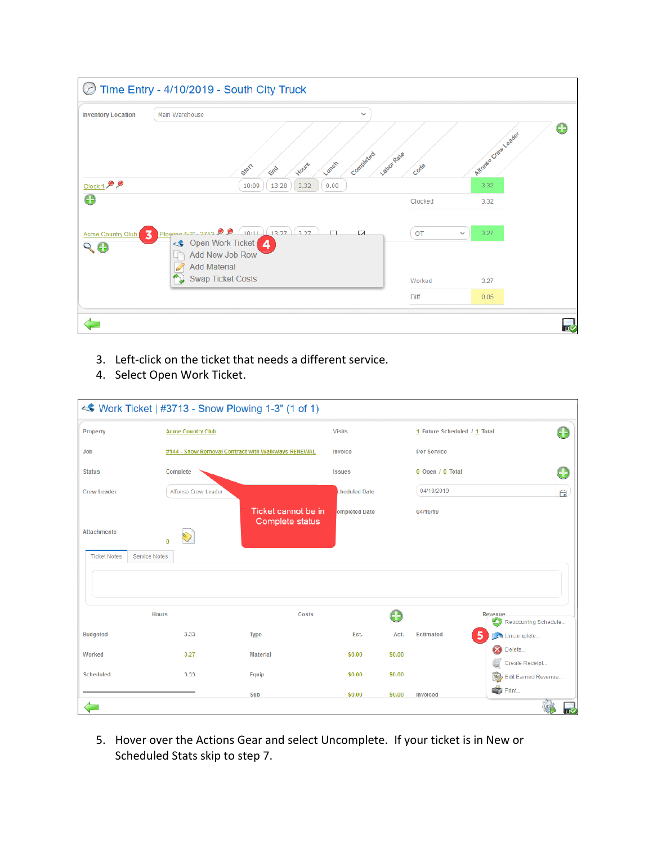| <b>Inventory Location</b>       | Main Warehouse<br>$\checkmark$                                                                                                                                                            |                    |                              |   |
|---------------------------------|-------------------------------------------------------------------------------------------------------------------------------------------------------------------------------------------|--------------------|------------------------------|---|
| $Clock 1$ <sup>2</sup>          | Completed<br>Lunch<br>Hours<br>Start<br>End<br>13:28<br>3.32<br>10:09<br>0.00                                                                                                             | Labor Rate<br>Code | Atforeo Creat Leader<br>3.32 | Œ |
| $\boldsymbol{\Theta}$           |                                                                                                                                                                                           | Clocked            | 3.32                         |   |
| Acme Country Club<br>$Q \Theta$ | Plowing 1.2" - 2712 $\bullet$ $\bullet$ $\left(10.11\right)$ $\left(13.27\right)$ $\left(2.27\right)$<br>$\Box$<br>$\overline{\mathcal{L}}$<br>3<br>Open Work Ticket 4<br>Add New Job Row | OT                 | 3.27<br>$\checkmark$         |   |
|                                 | <b>Add Material</b><br><b>Swap Ticket Costs</b>                                                                                                                                           | Worked             | 3.27                         |   |
|                                 |                                                                                                                                                                                           | Diff               | 0.05                         |   |

- 3. Left-click on the ticket that needs a different service.
- 4. Select Open Work Ticket.

|                                             | <b>◆ Work Ticket   #3713 - Snow Plowing 1-3" (1 of 1)</b> |                                        |                      |        |                              |                                                |
|---------------------------------------------|-----------------------------------------------------------|----------------------------------------|----------------------|--------|------------------------------|------------------------------------------------|
| Property                                    | <b>Acme Country Club</b>                                  |                                        | <b>Visits</b>        |        | 1 Future Scheduled / 1 Total | Œ                                              |
| Job                                         | #144 - Snow Removal Contract with Walkways RENEWAL        | Invoice<br><b>Per Service</b>          |                      |        |                              |                                                |
| <b>Status</b>                               | Complete                                                  |                                        | <b>Issues</b>        |        | 0 Open / 0 Total             | æ                                              |
| <b>Crew Leader</b>                          | Alfonso Crew Leader                                       |                                        | <b>cheduled Date</b> |        | 04/10/2019                   | 自                                              |
| <b>Attachments</b>                          | $\overline{0}$                                            | Ticket cannot be in<br>Complete status | ompleted Date        |        | 04/10/19                     |                                                |
| <b>Ticket Notes</b><br><b>Service Notes</b> |                                                           |                                        |                      |        |                              |                                                |
| <b>Hours</b>                                |                                                           | Costs                                  |                      |        |                              | Revenue<br>Reoccurring Schedule<br>ΚIJ         |
| <b>Budgeted</b>                             | 3.33                                                      | <b>Type</b>                            | Est.                 | Act.   | <b>Estimated</b>             | 5<br>Uncomplete                                |
| Worked                                      | 3.27                                                      | <b>Material</b>                        | \$0.00               | \$0.00 |                              | æ<br>Delete<br>Create Receipt                  |
| <b>Scheduled</b>                            | 3.33                                                      | Equip                                  | \$0.00               | \$0.00 |                              | 砂<br>Edit Earned Revenue                       |
|                                             |                                                           | Sub                                    | \$0.00               | \$0.00 | <b>Invoiced</b>              | $\Rightarrow$ Print<br>$\overline{\mathbf{n}}$ |

5. Hover over the Actions Gear and select Uncomplete. If your ticket is in New or Scheduled Stats skip to step 7.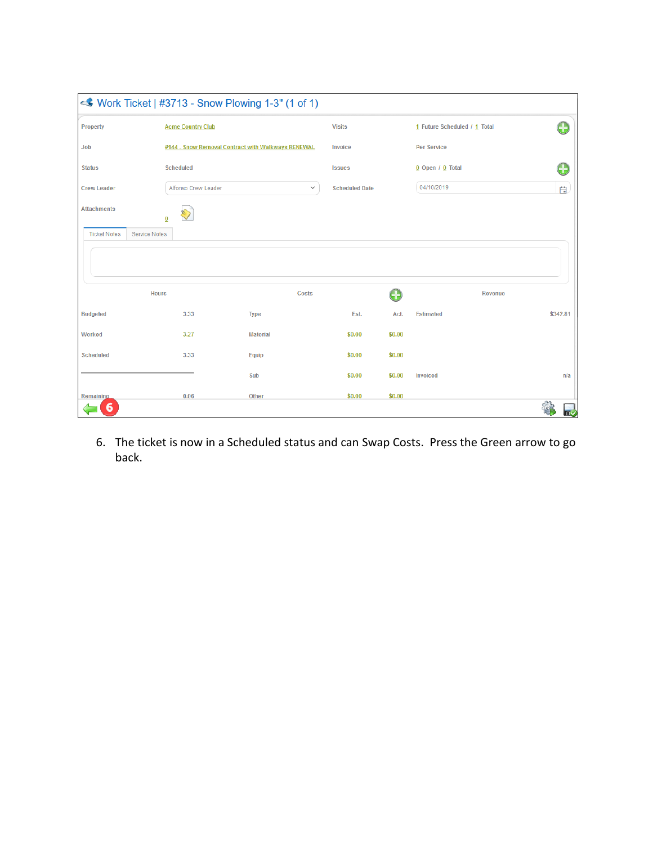|                                      | <b>◆ Work Ticket   #3713 - Snow Plowing 1-3" (1 of 1)</b> |                 |                       |        |                              |          |
|--------------------------------------|-----------------------------------------------------------|-----------------|-----------------------|--------|------------------------------|----------|
| Property                             | <b>Acme Country Club</b>                                  |                 | <b>Visits</b>         |        | 1 Future Scheduled / 1 Total | A        |
| Job                                  | #144 - Snow Removal Contract with Walkways RENEWAL        |                 | Invoice               |        | Per Service                  |          |
| <b>Status</b>                        | <b>Scheduled</b>                                          |                 | <b>Issues</b>         |        | $0$ Open / $0$ Total         | Œ        |
| <b>Crew Leader</b>                   | Alfonso Crew Leader                                       | $\checkmark$    | <b>Scheduled Date</b> |        | 04/10/2019                   | 白        |
| <b>Attachments</b>                   | $\overline{0}$                                            |                 |                       |        |                              |          |
| <b>Ticket Notes</b><br>Service Notes |                                                           |                 |                       |        |                              |          |
|                                      |                                                           |                 |                       |        |                              |          |
| <b>Hours</b>                         |                                                           | Costs           |                       | Œ      | <b>Revenue</b>               |          |
| <b>Budgeted</b>                      | 3.33                                                      | <b>Type</b>     | Est.                  | Act.   | <b>Estimated</b>             | \$342.81 |
| Worked                               | 3.27                                                      | <b>Material</b> | \$0.00                | \$0.00 |                              |          |
| <b>Scheduled</b>                     | 3.33                                                      | Equip           | \$0.00                | \$0.00 |                              |          |
|                                      |                                                           | Sub             | \$0.00                | \$0.00 | <b>Invoiced</b>              | n/a      |
| Remaining                            | 0.06                                                      | Other           | \$0.00                | \$0.00 |                              |          |
| 6                                    |                                                           |                 |                       |        |                              | Πν       |

6. The ticket is now in a Scheduled status and can Swap Costs. Press the Green arrow to go back.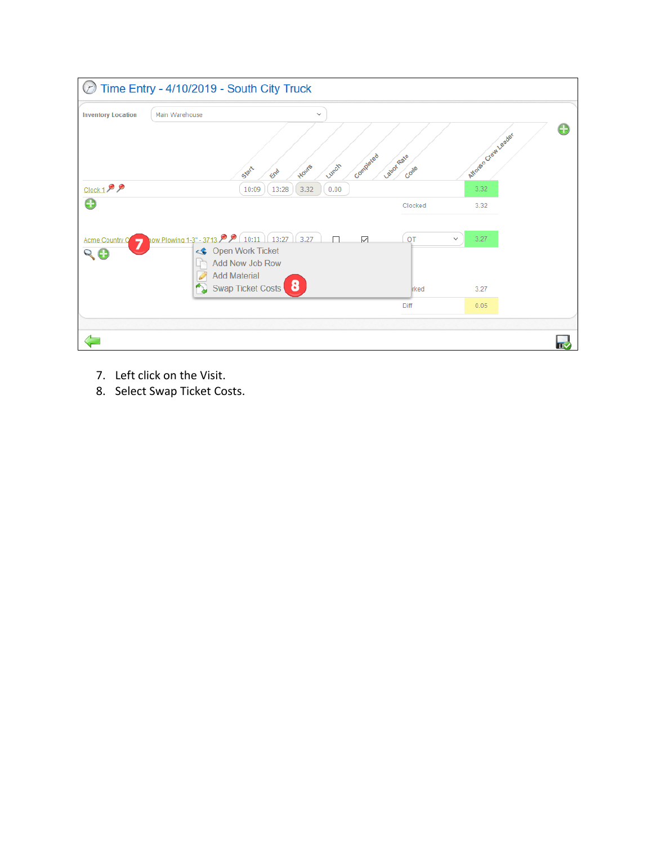| $(\mathcal{F})$                   | Time Entry - 4/10/2019 - South City Truck                                                                                                                                            |                    |                               |    |
|-----------------------------------|--------------------------------------------------------------------------------------------------------------------------------------------------------------------------------------|--------------------|-------------------------------|----|
| <b>Inventory Location</b>         | Main Warehouse<br>$\checkmark$                                                                                                                                                       |                    |                               |    |
| $Clock 1$ <sup>O</sup>            | Completed<br>Lunch<br>Hours<br>Start<br>End<br>13:28<br>3.32<br>10:09<br>0.00                                                                                                        | Labor Rate<br>Code | Atforeso Creat Leader<br>3.32 | ٤Đ |
| $\bf \bm \Theta$                  |                                                                                                                                                                                      | Clocked            | 3.32                          |    |
| <b>Acme Country C</b><br>⇁<br>R A | now Plowing 1-3" - 3713 $\bigcirc$ (10:11) (13:27) 3.27<br>П<br>$\checkmark$<br><b>Open Work Ticket</b><br>$\ll$<br>Add New Job Row<br><b>Add Material</b><br>D<br>Swap Ticket Costs | OT<br><b>rked</b>  | 3.27<br>$\checkmark$<br>3.27  |    |
|                                   |                                                                                                                                                                                      | Diff               | 0.05                          |    |
|                                   |                                                                                                                                                                                      |                    |                               |    |

- 7. Left click on the Visit.
- 8. Select Swap Ticket Costs.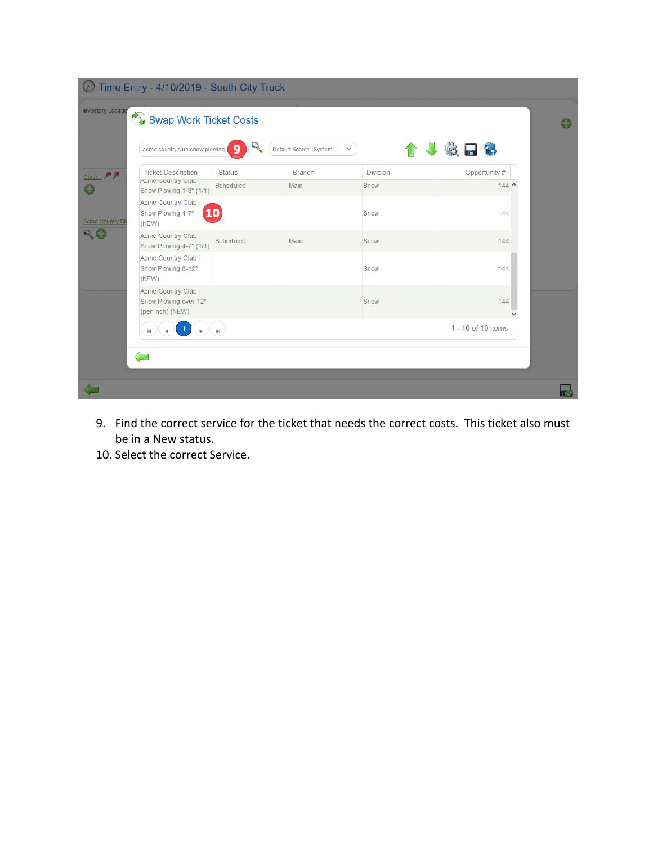|                          | Time Entry - 4/10/2019 - South City Truck                        |               |                         |                 |                     |                 |
|--------------------------|------------------------------------------------------------------|---------------|-------------------------|-----------------|---------------------|-----------------|
| <b>Inventory Locatio</b> | Swap Work Ticket Costs                                           |               |                         |                 |                     | $\blacklozenge$ |
|                          | acme country club snow plowing                                   |               | Default Search [System] | $\checkmark$    | 设品行                 |                 |
| Clock 1 99               | <b>Ticket Description</b>                                        | <b>Status</b> | <b>Branch</b>           | <b>Division</b> | Opportunity #       |                 |
|                          | Acme Country Club  <br>Snow Plowing 1-3" (1/1)                   | Scheduled     | Main                    | Snow            | $144^{\sim}$        |                 |
| <b>Acme Country Cli</b>  | Acme Country Club  <br>Snow Plowing 4-7"<br><b>10</b><br>(NEW)   |               |                         | Snow            | 144                 |                 |
| 99                       | Acme Country Club  <br>Snow Plowing 4-7" (1/1)                   | Scheduled     | Main                    | Snow            | 144                 |                 |
|                          | Acme Country Club  <br>Snow Plowing 8-12"<br>(NEW)               |               |                         | Snow            | 144                 |                 |
|                          | Acme Country Club  <br>Snow Plowing over 12"<br>(per inch) (NEW) |               |                         | Snow            | 144<br>$\checkmark$ |                 |
|                          |                                                                  | M.            |                         |                 | 1 - 10 of 10 items  |                 |
|                          |                                                                  |               |                         |                 |                     |                 |
|                          |                                                                  |               |                         |                 |                     |                 |
|                          |                                                                  |               |                         |                 |                     |                 |

- 9. Find the correct service for the ticket that needs the correct costs. This ticket also must be in a New status.
- 10. Select the correct Service.